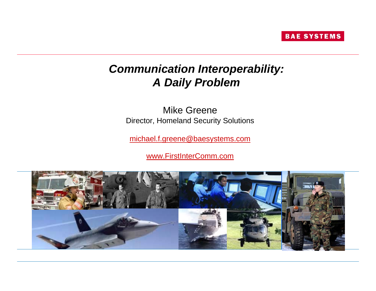

# *Communication Interoperability: A Daily Problem*

Mike GreeneDirector, Homeland Security Solutions

[michael.f.greene@baesystems.com](mailto:michael.f.greene@baesystems.com)

[www.FirstInterComm.com](http://www.firstintercomm.com/)

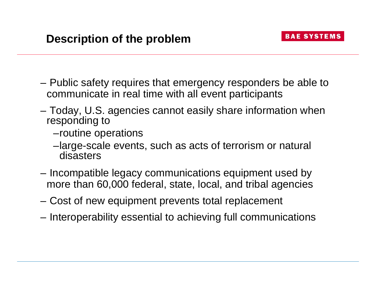- Public safety requires that emergency responders be able to communicate in real time with all event participants
- – Today, U.S. agencies cannot easily share information when responding to
	- –routine operations
	- –large-scale events, such as acts of terrorism or natural disasters
- **Links of the Company**  Incompatible legacy communications equipment used by more than 60,000 federal, state, local, and tribal agencies
- –Cost of new equipment prevents total replacement
- **Links of the Company** Interoperability essential to achieving full communications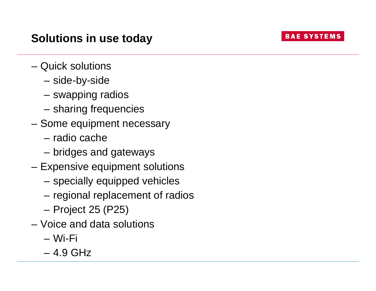**BAE SYSTEMS** 

- Quick solutions
	- –side-by-side
	- **Links of the Company** swapping radios
	- **Links of the Company** sharing frequencies
- Some equipment necessary
	- radio cache
	- **Links of the Company** bridges and gateways
- Expensive equipment solutions
	- **Links of the Company** specially equipped vehicles
	- **Links of the Company** regional replacement of radios
	- –Project 25 (P25)
- Voice and data solutions
	- Wi-Fi
	- 4.9 GHz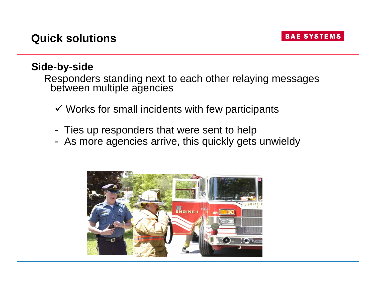# **Side-by-side**

Responders standing next to each other relaying messages between multiple agencies

- $\checkmark$  Works for small incidents with few participants
- -Ties up responders that were sent to help
- -As more agencies arrive, this quickly gets unwieldy

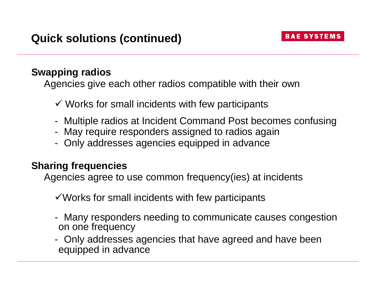#### **Swapping radios**

Agencies give each other radios compatible with their own

- $\checkmark$  Works for small incidents with few participants
- -Multiple radios at Incident Command Post becomes confusing
- -May require responders assigned to radios again
- -Only addresses agencies equipped in advance

## **Sharing frequencies**

Agencies agree to use common frequency(ies) at incidents

 $\checkmark$  Works for small incidents with few participants

- - Many responders needing to communicate causes congestion on one frequency
- - Only addresses agencies that have agreed and have been equipped in advance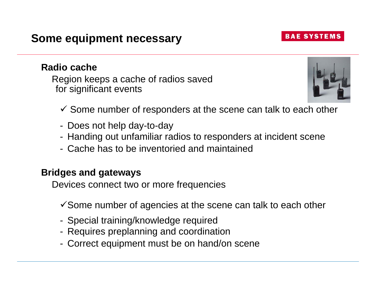#### **Radio cache**

Region keeps a cache of radios saved for significant events

- $\checkmark$  Some number of responders at the scene can talk to each other
- Does not help day-to-day
- -Handing out unfamiliar radios to responders at incident scene
- Cache has to be inventoried and maintained

#### **Bridges and gateways**

Devices connect two or more frequencies

- $\checkmark$  Some number of agencies at the scene can talk to each other
- -Special training/knowledge required
- Requires preplanning and coordination
- -Correct equipment must be on hand/on scene



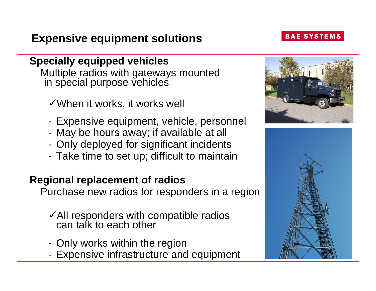# **Expensive equipment solutions**

# **Specially equipped vehicles**

Multiple radios with gateways mounted in special purpose vehicles

- $\checkmark$  When it works, it works well
- -Expensive equipment, vehicle, personnel
- -May be hours away; if available at all
- -Only deployed for significant incidents
- -Take time to set up; difficult to maintain

# **Regional replacement of radios**

Purchase new radios for responders in a region

- $\checkmark$  All responders with compatible radios can talk to each other
- -Only works within the region
- -Expensive infrastructure and equipment





#### **BAE SYSTEMS**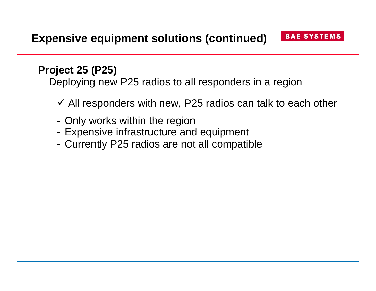# **Project 25 (P25)**

Deploying new P25 radios to all responders in a region

- $\checkmark$  All responders with new, P25 radios can talk to each other
- -Only works within the region
- -Expensive infrastructure and equipment
- -Currently P25 radios are not all compatible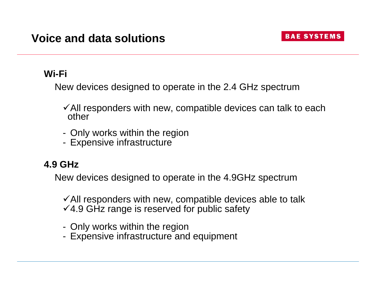## **Wi-Fi**

New devices designed to operate in the 2.4 GHz spectrum

- $\checkmark$  All responders with new, compatible devices can talk to each other
- -Only works within the region
- -Expensive infrastructure

# **4.9 GHz**

New devices designed to operate in the 4.9GHz spectrum

 $\checkmark$  All responders with new, compatible devices able to talk  $\sqrt{4.9}$  GHz range is reserved for public safety

- -Only works within the region
- -Expensive infrastructure and equipment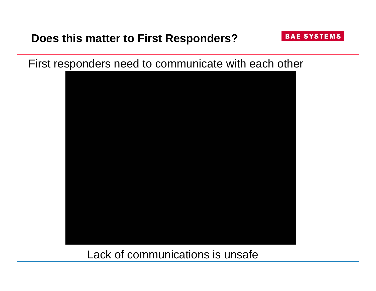# **Does this matter to First Responders?**

First responders need to communicate with each other

**BAE SYSTEMS** 



Lack of communications is unsafe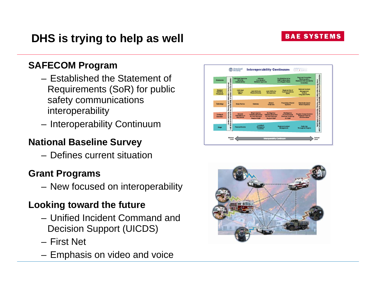# **SAFECOM Program**

- Established the Statement of Requirements (SoR) for public safety communications interoperability
- Interoperability Continuum

# **National Baseline Survey**

– Defines current situation

## **Grant Programs**

New focused on interoperability

# **Looking toward the future**

- Unified Incident Command and Decision Support (UICDS)
- First Net
- Emphasis on video and voice



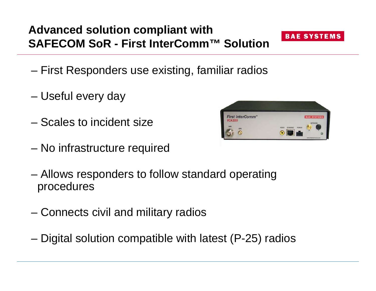# **Advanced solution compliant with SAFECOM SoR - First InterComm™ Solution**

- First Responders use existing, familiar radios
- Useful every day
- Scales to incident size
- No infrastructure required
- – Allows responders to follow standard operating procedures
- Connects civil and military radios
- Digital solution compatible with latest (P-25) radios